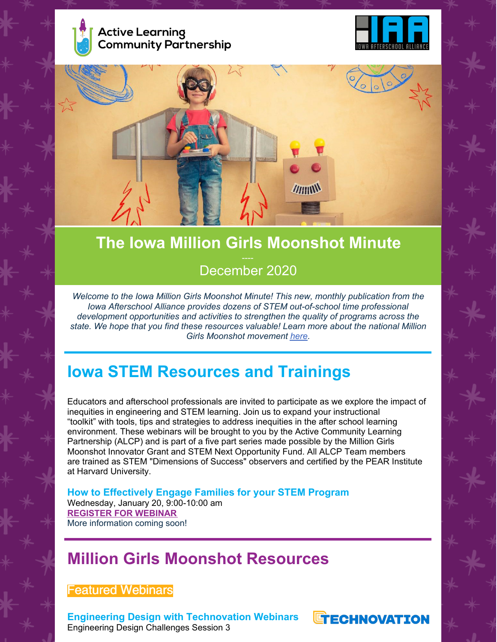





# **The Iowa Million Girls Moonshot Minute** December 2020

*Welcome to the Iowa Million Girls Moonshot Minute! This new, monthly publication from the Iowa Afterschool Alliance provides dozens of STEM out-of-school time professional development opportunities and activities to strengthen the quality of programs across the state. We hope that you find these resources valuable! Learn more about the national Million Girls Moonshot movement [here](https://milliongirlsmoonshot.org/).*

## **Iowa STEM Resources and Trainings**

Educators and afterschool professionals are invited to participate as we explore the impact of inequities in engineering and STEM learning. Join us to expand your instructional "toolkit" with tools, tips and strategies to address inequities in the after school learning environment. These webinars will be brought to you by the Active Community Learning Partnership (ALCP) and is part of a five part series made possible by the Million Girls Moonshot Innovator Grant and STEM Next Opportunity Fund. All ALCP Team members are trained as STEM "Dimensions of Success" observers and certified by the PEAR Institute at Harvard University.

**How to Effectively Engage Families for your STEM Program** Wednesday, January 20, 9:00-10:00 am **[REGISTER](https://zoom.us/meeting/register/tJUkcuCoqz8rE9P7Yt_4mbxIGsDDucS2vAHX) FOR WEBINAR** More information coming soon!

## **Million Girls Moonshot Resources**

## Featured Webinars

**Engineering Design with Technovation Webinars** Engineering Design Challenges Session 3

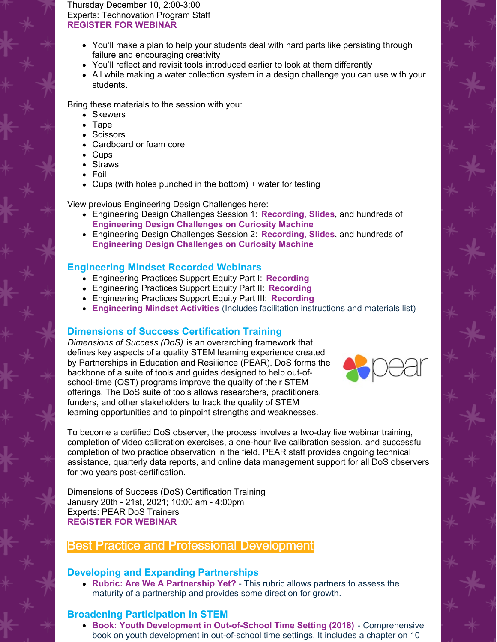Thursday December 10, 2:00-3:00 Experts: Technovation Program Staff **[REGISTER](https://bit.ly/2EUzYwM) FOR WEBINAR**

- You'll make a plan to help your students deal with hard parts like persisting through failure and encouraging creativity
- You'll reflect and revisit tools introduced earlier to look at them differently
- All while making a water collection system in a design challenge you can use with your students.

Bring these materials to the session with you:

- Skewers
- Tape
- Scissors
- Cardboard or foam core
- Cups
- Straws
- Foil
- Cups (with holes punched in the bottom) + water for testing

View previous Engineering Design Challenges here:

- Engineering Design Challenges Session 1: **[Recording](https://www.dropbox.com/s/q537yltunj4f1tw/10.29.2020 Webinar.mp4?dl=0)**, **[Slides](https://docs.google.com/presentation/d/1HaZCvaz0FzEYWIVErGOp9pT8Tg6ShGOWd3aECM2pM-8/edit)**, and hundreds of **[Engineering](https://www.curiositymachine.org/) Design Challenges on Curiosity Machine**
- Engineering Design Challenges Session 2: **[Recording](https://www.dropbox.com/s/02d78eg6w94t289/11.19.2020 Webinar.mp4?dl=0)**, **[Slides](https://docs.google.com/presentation/d/1KYV7d_f_wRK2VJUKUu3HiD7hmN3IUtmIyOWFJA991AU/edit#slide=id.ga3940a60ca_0_174)**, and hundreds of **[Engineering](https://www.curiositymachine.org/) Design Challenges on Curiosity Machine**

#### **Engineering Mindset Recorded Webinars**

- Engineering Practices Support Equity Part I: **[Recording](https://www.dropbox.com/sh/cmk3glm0obyv9tw/AAA7b1vB4sCiqVZQ2o9EgpdDa?dl=0)**
- Engineering Practices Support Equity Part II: **[Recording](https://www.dropbox.com/s/tsapkaou2yhqfbg/Webinar 10.20.2020.mp4?dl=0)**
- Engineering Practices Support Equity Part III: **[Recording](https://www.dropbox.com/s/z4t5poes6q6qep0/11.10.2020 Webinar.mp4?dl=0)**
- **[Engineering](https://stemnext.org/engineering-mindset-toolkit/) Mindset Activities** (Includes facilitation instructions and materials list)

#### **Dimensions of Success Certification Training**

*Dimensions of Success (DoS)* is an overarching framework that defines key aspects of a quality STEM learning experience created by Partnerships in Education and Resilience (PEAR). DoS forms the backbone of a suite of tools and guides designed to help out-ofschool-time (OST) programs improve the quality of their STEM offerings. The DoS suite of tools allows researchers, practitioners, funders, and other stakeholders to track the quality of STEM learning opportunities and to pinpoint strengths and weaknesses.



To become a certified DoS observer, the process involves a two-day live webinar training, completion of video calibration exercises, a one-hour live calibration session, and successful completion of two practice observation in the field. PEAR staff provides ongoing technical assistance, quarterly data reports, and online data management support for all DoS observers for two years post-certification.

Dimensions of Success (DoS) Certification Training January 20th - 21st, 2021; 10:00 am - 4:00pm Experts: PEAR DoS Trainers **[REGISTER](https://www.pearinc.org/dos-training) FOR WEBINAR**

### Best Practice and Professional Development

#### **Developing and Expanding Partnerships**

**Rubric: Are We A [Partnership](http://learndbir.org/resources/diagnostic-rubric-are-we-a-partnership-yet) Yet?** - This rubric allows partners to assess the maturity of a partnership and provides some direction for growth.

#### **Broadening Participation in STEM**

**Book: Youth Development in [Out-of-School](https://www.researchgate.net/profile/Peter_Witt5/publication/323389633_Youth_Development_Principles_and_Practices_in_Out-of-School_Time_Settings/links/5abe51a645851584fa719e3b/Youth-Development-Principles-and-Practices-in-Out-of-School-Time-Settings.pdf#page=20) Time Setting (2018)** - Comprehensive book on youth development in out-of-school time settings. It includes a chapter on 10